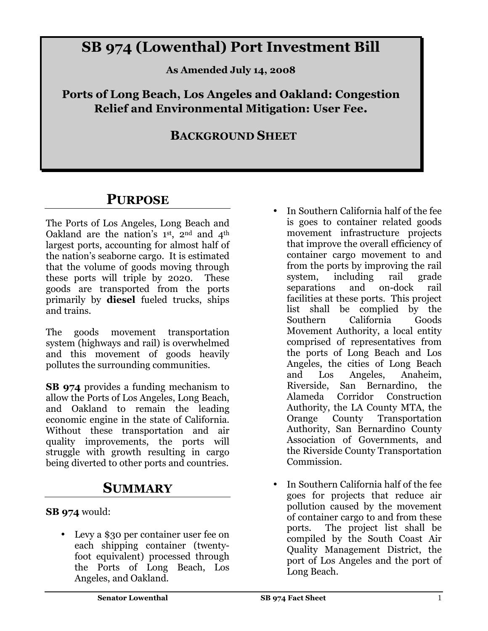# **SB 974 (Lowenthal) Port Investment Bill**

**As Amended July 14, 2008** 

**Ports of Long Beach, Los Angeles and Oakland: Congestion Relief and Environmental Mitigation: User Fee.** 

#### **BACKGROUND SHEET**

## **PURPOSE**

The Ports of Los Angeles, Long Beach and Oakland are the nation's 1st, 2nd and 4th largest ports, accounting for almost half of the nation's seaborne cargo. It is estimated that the volume of goods moving through these ports will triple by 2020. These goods are transported from the ports primarily by **diesel** fueled trucks, ships and trains.

The goods movement transportation system (highways and rail) is overwhelmed and this movement of goods heavily pollutes the surrounding communities.

**SB 974** provides a funding mechanism to allow the Ports of Los Angeles, Long Beach, and Oakland to remain the leading economic engine in the state of California. Without these transportation and air quality improvements, the ports will struggle with growth resulting in cargo being diverted to other ports and countries.

### **SUMMARY**

**SB 974** would:

• Levy a \$30 per container user fee on each shipping container (twentyfoot equivalent) processed through the Ports of Long Beach, Los Angeles, and Oakland.

- In Southern California half of the fee is goes to container related goods movement infrastructure projects that improve the overall efficiency of container cargo movement to and from the ports by improving the rail system, including rail grade separations and on-dock rail facilities at these ports. This project list shall be complied by the Southern California Goods Movement Authority, a local entity comprised of representatives from the ports of Long Beach and Los Angeles, the cities of Long Beach and Los Angeles, Anaheim, Riverside, San Bernardino, the Alameda Corridor Construction Authority, the LA County MTA, the Orange County Transportation Authority, San Bernardino County Association of Governments, and the Riverside County Transportation Commission.
- In Southern California half of the fee goes for projects that reduce air pollution caused by the movement of container cargo to and from these ports. The project list shall be compiled by the South Coast Air Quality Management District, the port of Los Angeles and the port of Long Beach.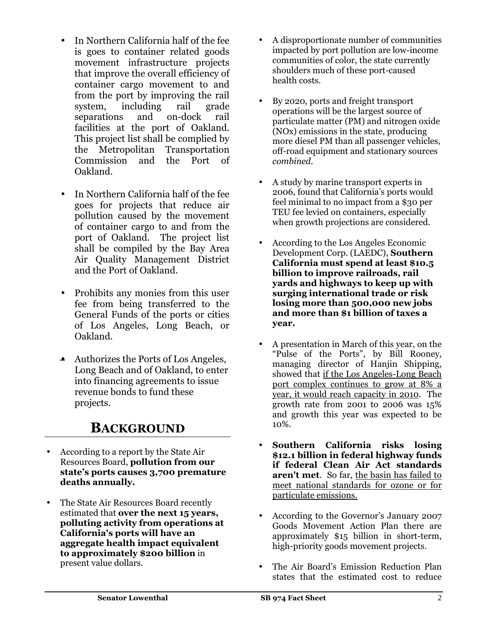- In Northern California half of the fee is goes to container related goods movement infrastructure projects that improve the overall efficiency of container cargo movement to and from the port by improving the rail system, including rail grade separations and on-dock rail facilities at the port of Oakland. This project list shall be complied by the Metropolitan Transportation Commission and the Port of Oakland.
- In Northern California half of the fee goes for projects that reduce air pollution caused by the movement of container cargo to and from the port of Oakland. The project list shall be compiled by the Bay Area Air Quality Management District and the Port of Oakland.
- Prohibits any monies from this user fee from being transferred to the General Funds of the ports or cities of Los Angeles, Long Beach, or Oakland.
- Authorizes the Ports of Los Angeles, Long Beach and of Oakland, to enter into financing agreements to issue revenue bonds to fund these projects.

### **BACKGROUND**

- According to a report by the State Air Resources Board, **pollution from our state's ports causes 3,700 premature deaths annually.**
- The State Air Resources Board recently estimated that **over the next 15 years, polluting activity from operations at California's ports will have an aggregate health impact equivalent to approximately \$200 billion** in present value dollars.
- A disproportionate number of communities impacted by port pollution are low-income communities of color, the state currently shoulders much of these port-caused health costs.
- By 2020, ports and freight transport operations will be the largest source of particulate matter (PM) and nitrogen oxide (NOx) emissions in the state, producing more diesel PM than all passenger vehicles, off-road equipment and stationary sources *combined*.
- A study by marine transport experts in 2006, found that California's ports would feel minimal to no impact from a \$30 per TEU fee levied on containers, especially when growth projections are considered.
- According to the Los Angeles Economic Development Corp. (LAEDC), **Southern California must spend at least \$10.5 billion to improve railroads, rail yards and highways to keep up with surging international trade or risk losing more than 500,000 new jobs and more than \$1 billion of taxes a year.**
- A presentation in March of this year, on the "Pulse of the Ports", by Bill Rooney, managing director of Hanjin Shipping, showed that if the Los Angeles-Long Beach port complex continues to grow at 8% a year, it would reach capacity in 2010. The growth rate from 2001 to 2006 was 15% and growth this year was expected to be 10%.
- **Southern California risks losing \$12.1 billion in federal highway funds if federal Clean Air Act standards aren't met**. So far, the basin has failed to meet national standards for ozone or for particulate emissions.
- According to the Governor's January 2007 Goods Movement Action Plan there are approximately \$15 billion in short-term, high-priority goods movement projects.
- The Air Board's Emission Reduction Plan states that the estimated cost to reduce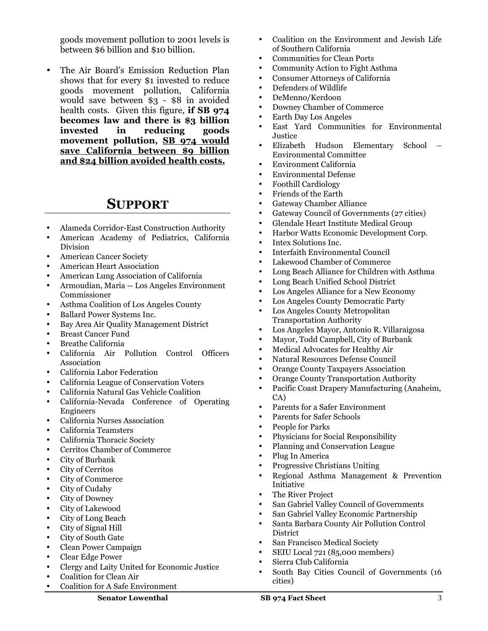goods movement pollution to 2001 levels is between \$6 billion and \$10 billion.

• The Air Board's Emission Reduction Plan shows that for every \$1 invested to reduce goods movement pollution, California would save between \$3 - \$8 in avoided health costs. Given this figure, **if SB 974 becomes law and there is \$3 billion invested in reducing goods movement pollution, SB 974 would save California between \$9 billion and \$24 billion avoided health costs.**

#### **SUPPORT**

- Alameda Corridor-East Construction Authority
- American Academy of Pediatrics, California Division
- American Cancer Society
- American Heart Association
- American Lung Association of California
- Armoudian, Maria -- Los Angeles Environment Commissioner
- Asthma Coalition of Los Angeles County
- Ballard Power Systems Inc.
- Bay Area Air Quality Management District
- Breast Cancer Fund
- Breathe California
- California Air Pollution Control Officers Association
- California Labor Federation
- California League of Conservation Voters
- California Natural Gas Vehicle Coalition
- California-Nevada Conference of Operating Engineers
- California Nurses Association
- California Teamsters
- California Thoracic Society
- Cerritos Chamber of Commerce
- City of Burbank
- City of Cerritos
- City of Commerce
- City of Cudahy
- City of Downey
- City of Lakewood
- City of Long Beach
- City of Signal Hill
- City of South Gate
- Clean Power Campaign
- Clear Edge Power
- Clergy and Laity United for Economic Justice
- Coalition for Clean Air
- Coalition for A Safe Environment
- Coalition on the Environment and Jewish Life of Southern California
- Communities for Clean Ports
- Community Action to Fight Asthma
- Consumer Attorneys of California
- Defenders of Wildlife
- DeMenno/Kerdoon
- Downey Chamber of Commerce
- Earth Day Los Angeles
- East Yard Communities for Environmental Justice
- Elizabeth Hudson Elementary School Environmental Committee
- Environment California
- Environmental Defense
- Foothill Cardiology
- Friends of the Earth
- Gateway Chamber Alliance
- Gateway Council of Governments (27 cities)
- Glendale Heart Institute Medical Group
- Harbor Watts Economic Development Corp.
- Intex Solutions Inc.
- Interfaith Environmental Council
- Lakewood Chamber of Commerce
- Long Beach Alliance for Children with Asthma
- Long Beach Unified School District
- Los Angeles Alliance for a New Economy
- Los Angeles County Democratic Party
- Los Angeles County Metropolitan Transportation Authority
- Los Angeles Mayor, Antonio R. Villaraigosa
- Mayor, Todd Campbell, City of Burbank
- Medical Advocates for Healthy Air
- Natural Resources Defense Council
- Orange County Taxpayers Association
- Orange County Transportation Authority
- Pacific Coast Drapery Manufacturing (Anaheim, CA)
- Parents for a Safer Environment
- Parents for Safer Schools
- People for Parks
- Physicians for Social Responsibility
- Planning and Conservation League
- Plug In America
- Progressive Christians Uniting
- Regional Asthma Management & Prevention Initiative
- The River Project
- San Gabriel Valley Council of Governments
- San Gabriel Valley Economic Partnership
- Santa Barbara County Air Pollution Control **District**
- San Francisco Medical Society
- SEIU Local 721 (85,000 members)
- Sierra Club California
- South Bay Cities Council of Governments (16 cities)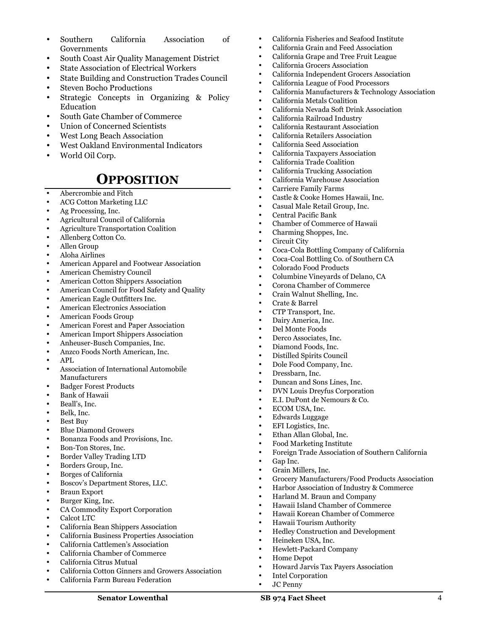- Southern California Association of Governments
- South Coast Air Quality Management District
- State Association of Electrical Workers
- State Building and Construction Trades Council
- Steven Bocho Productions
- Strategic Concepts in Organizing & Policy Education
- South Gate Chamber of Commerce
- Union of Concerned Scientists
- West Long Beach Association
- West Oakland Environmental Indicators
- World Oil Corp.

#### **OPPOSITION**

- Abercrombie and Fitch
- ACG Cotton Marketing LLC
- Ag Processing, Inc.
- Agricultural Council of California
- Agriculture Transportation Coalition
- Allenberg Cotton Co.
- Allen Group
- Aloha Airlines
- American Apparel and Footwear Association
- American Chemistry Council
- American Cotton Shippers Association
- American Council for Food Safety and Quality
- American Eagle Outfitters Inc.
- American Electronics Association
- American Foods Group
- American Forest and Paper Association
- American Import Shippers Association
- Anheuser-Busch Companies, Inc.
- Anzco Foods North American, Inc.
- APL
- Association of International Automobile Manufacturers
- Badger Forest Products
- Bank of Hawaii
- Beall's, Inc.
- Belk, Inc.
- Best Buy
- Blue Diamond Growers
- Bonanza Foods and Provisions, Inc.
- Bon-Ton Stores, Inc.
- Border Valley Trading LTD
- Borders Group, Inc.
- Borges of California
- Boscov's Department Stores, LLC.
- Braun Export
- Burger King, Inc.
- CA Commodity Export Corporation
- Calcot LTC
- California Bean Shippers Association
- California Business Properties Association
- California Cattlemen's Association
- California Chamber of Commerce
- California Citrus Mutual
- California Cotton Ginners and Growers Association
- California Farm Bureau Federation
- California Fisheries and Seafood Institute
- California Grain and Feed Association
- California Grape and Tree Fruit League
- California Grocers Association
- California Independent Grocers Association
- California League of Food Processors
- California Manufacturers & Technology Association
- California Metals Coalition
- California Nevada Soft Drink Association
- California Railroad Industry
- California Restaurant Association
- California Retailers Association
- California Seed Association
- California Taxpayers Association
- California Trade Coalition
- California Trucking Association
- California Warehouse Association
- Carriere Family Farms
- Castle & Cooke Homes Hawaii, Inc.
- Casual Male Retail Group, Inc.
- Central Pacific Bank
- Chamber of Commerce of Hawaii
- Charming Shoppes, Inc.
- Circuit City
- Coca-Cola Bottling Company of California
- Coca-Coal Bottling Co. of Southern CA
- Colorado Food Products
- Columbine Vineyards of Delano, CA
- Corona Chamber of Commerce
- Crain Walnut Shelling, Inc.
- Crate & Barrel
- CTP Transport, Inc.
- Dairy America, Inc.
- Del Monte Foods
- Derco Associates, Inc.
- Diamond Foods, Inc.
- Distilled Spirits Council
- Dole Food Company, Inc.
- Dressbarn, Inc.
- Duncan and Sons Lines, Inc.
- DVN Louis Dreyfus Corporation
- E.I. DuPont de Nemours & Co.

• Ethan Allan Global, Inc. • Food Marketing Institute

• Harland M. Braun and Company • Hawaii Island Chamber of Commerce • Hawaii Korean Chamber of Commerce

• Hewlett-Packard Company

• Hedley Construction and Development

• Howard Jarvis Tax Payers Association

• Hawaii Tourism Authority

• Heineken USA, Inc.

• Intel Corporation • JC Penny

• Home Depot

• Foreign Trade Association of Southern California

• Grocery Manufacturers/Food Products Association • Harbor Association of Industry & Commerce

- ECOM USA, Inc.
- Edwards Luggage • EFI Logistics, Inc.

Gap Inc. • Grain Millers, Inc.

**Senator Lowenthal SB 974 Fact Sheet** 4